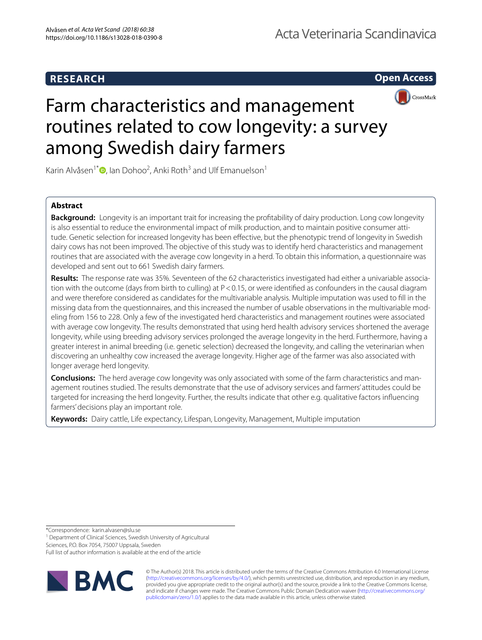### **RESEARCH**

**Open Access**



# Farm characteristics and management routines related to cow longevity: a survey among Swedish dairy farmers

Karin Alvåsen<sup>1\*</sup><sup>®</sup>, Ian Dohoo<sup>2</sup>, Anki Roth<sup>3</sup> and Ulf Emanuelson<sup>1</sup>

### **Abstract**

**Background:** Longevity is an important trait for increasing the proftability of dairy production. Long cow longevity is also essential to reduce the environmental impact of milk production, and to maintain positive consumer attitude. Genetic selection for increased longevity has been efective, but the phenotypic trend of longevity in Swedish dairy cows has not been improved. The objective of this study was to identify herd characteristics and management routines that are associated with the average cow longevity in a herd. To obtain this information, a questionnaire was developed and sent out to 661 Swedish dairy farmers.

**Results:** The response rate was 35%. Seventeen of the 62 characteristics investigated had either a univariable association with the outcome (days from birth to culling) at P<0.15, or were identifed as confounders in the causal diagram and were therefore considered as candidates for the multivariable analysis. Multiple imputation was used to fll in the missing data from the questionnaires, and this increased the number of usable observations in the multivariable modeling from 156 to 228. Only a few of the investigated herd characteristics and management routines were associated with average cow longevity. The results demonstrated that using herd health advisory services shortened the average longevity, while using breeding advisory services prolonged the average longevity in the herd. Furthermore, having a greater interest in animal breeding (i.e. genetic selection) decreased the longevity, and calling the veterinarian when discovering an unhealthy cow increased the average longevity. Higher age of the farmer was also associated with longer average herd longevity.

**Conclusions:** The herd average cow longevity was only associated with some of the farm characteristics and management routines studied. The results demonstrate that the use of advisory services and farmers' attitudes could be targeted for increasing the herd longevity. Further, the results indicate that other e.g. qualitative factors infuencing farmers' decisions play an important role.

**Keywords:** Dairy cattle, Life expectancy, Lifespan, Longevity, Management, Multiple imputation

\*Correspondence: karin.alvasen@slu.se

<sup>1</sup> Department of Clinical Sciences, Swedish University of Agricultural

Sciences, P.O. Box 7054, 75007 Uppsala, Sweden

Full list of author information is available at the end of the article



© The Author(s) 2018. This article is distributed under the terms of the Creative Commons Attribution 4.0 International License (http://creativecommons.org/licenses/by/4.0/), which permits unrestricted use, distribution, and reproduction in any medium, provided you give appropriate credit to the original author(s) and the source, provide a link to the Creative Commons license, and indicate if changes were made. The Creative Commons Public Domain Dedication waiver (http://creativecommons.org/ publicdomain/zero/1.0/) applies to the data made available in this article, unless otherwise stated.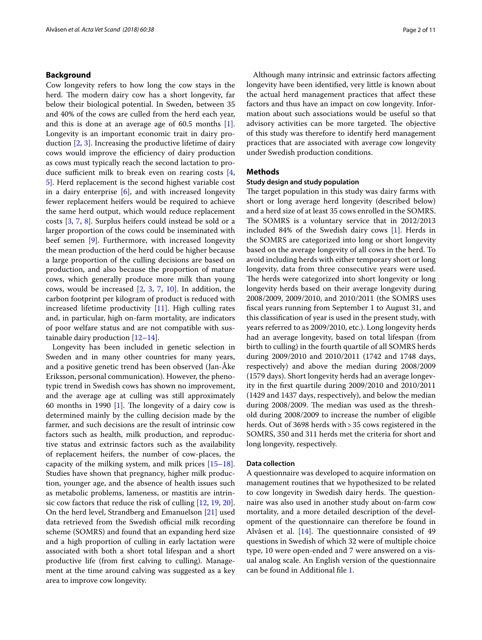#### **Background**

Cow longevity refers to how long the cow stays in the herd. The modern dairy cow has a short longevity, far below their biological potential. In Sweden, between 35 and 40% of the cows are culled from the herd each year, and this is done at an average age of 60.5 months [1]. Longevity is an important economic trait in dairy production [2, 3]. Increasing the productive lifetime of dairy cows would improve the efficiency of dairy production as cows must typically reach the second lactation to produce sufficient milk to break even on rearing costs  $[4, 4]$ 5]. Herd replacement is the second highest variable cost in a dairy enterprise [6], and with increased longevity fewer replacement heifers would be required to achieve the same herd output, which would reduce replacement costs [3, 7, 8]. Surplus heifers could instead be sold or a larger proportion of the cows could be inseminated with beef semen [9]. Furthermore, with increased longevity the mean production of the herd could be higher because a large proportion of the culling decisions are based on production, and also because the proportion of mature cows, which generally produce more milk than young cows, would be increased [2, 3, 7, 10]. In addition, the carbon footprint per kilogram of product is reduced with increased lifetime productivity [11]. High culling rates and, in particular, high on-farm mortality, are indicators of poor welfare status and are not compatible with sustainable dairy production  $[12-14]$ .

Longevity has been included in genetic selection in Sweden and in many other countries for many years, and a positive genetic trend has been observed (Jan-Åke Eriksson, personal communication). However, the phenotypic trend in Swedish cows has shown no improvement, and the average age at culling was still approximately 60 months in 1990  $[1]$ . The longevity of a dairy cow is determined mainly by the culling decision made by the farmer, and such decisions are the result of intrinsic cow factors such as health, milk production, and reproductive status and extrinsic factors such as the availability of replacement heifers, the number of cow-places, the capacity of the milking system, and milk prices [15–18]. Studies have shown that pregnancy, higher milk production, younger age, and the absence of health issues such as metabolic problems, lameness, or mastitis are intrinsic cow factors that reduce the risk of culling [12, 19, 20]. On the herd level, Strandberg and Emanuelson [21] used data retrieved from the Swedish official milk recording scheme (SOMRS) and found that an expanding herd size and a high proportion of culling in early lactation were associated with both a short total lifespan and a short productive life (from frst calving to culling). Management at the time around calving was suggested as a key area to improve cow longevity.

Although many intrinsic and extrinsic factors afecting longevity have been identifed, very little is known about the actual herd management practices that afect these factors and thus have an impact on cow longevity. Information about such associations would be useful so that advisory activities can be more targeted. The objective of this study was therefore to identify herd management practices that are associated with average cow longevity under Swedish production conditions.

#### **Methods**

#### **Study design and study population**

The target population in this study was dairy farms with short or long average herd longevity (described below) and a herd size of at least 35 cows enrolled in the SOMRS. The SOMRS is a voluntary service that in 2012/2013 included 84% of the Swedish dairy cows [1]. Herds in the SOMRS are categorized into long or short longevity based on the average longevity of all cows in the herd. To avoid including herds with either temporary short or long longevity, data from three consecutive years were used. The herds were categorized into short longevity or long longevity herds based on their average longevity during 2008/2009, 2009/2010, and 2010/2011 (the SOMRS uses fscal years running from September 1 to August 31, and this classifcation of year is used in the present study, with years referred to as 2009/2010, etc.). Long longevity herds had an average longevity, based on total lifespan (from birth to culling) in the fourth quartile of all SOMRS herds during 2009/2010 and 2010/2011 (1742 and 1748 days, respectively) and above the median during 2008/2009 (1579 days). Short longevity herds had an average longevity in the frst quartile during 2009/2010 and 2010/2011 (1429 and 1437 days, respectively), and below the median during 2008/2009. The median was used as the threshold during 2008/2009 to increase the number of eligible herds. Out of 3698 herds with > 35 cows registered in the SOMRS, 350 and 311 herds met the criteria for short and long longevity, respectively.

#### **Data collection**

A questionnaire was developed to acquire information on management routines that we hypothesized to be related to cow longevity in Swedish dairy herds. The questionnaire was also used in another study about on-farm cow mortality, and a more detailed description of the development of the questionnaire can therefore be found in Alvåsen et al.  $[14]$ . The questionnaire consisted of 49 questions in Swedish of which 32 were of multiple choice type, 10 were open-ended and 7 were answered on a visual analog scale. An English version of the questionnaire can be found in Additional fle 1.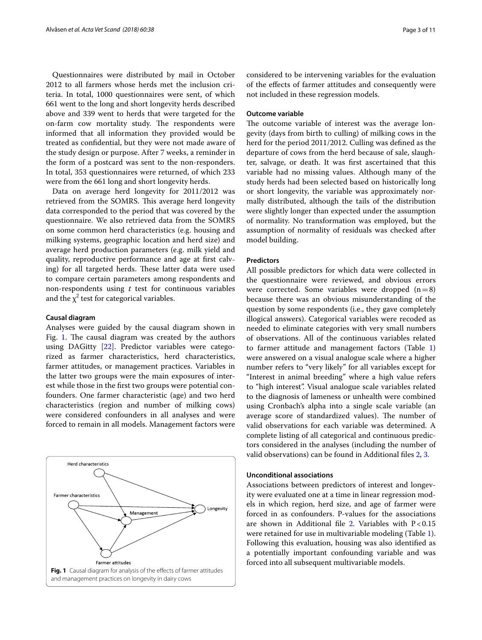Questionnaires were distributed by mail in October 2012 to all farmers whose herds met the inclusion criteria. In total, 1000 questionnaires were sent, of which 661 went to the long and short longevity herds described above and 339 went to herds that were targeted for the on-farm cow mortality study. The respondents were informed that all information they provided would be treated as confdential, but they were not made aware of the study design or purpose. After 7 weeks, a reminder in the form of a postcard was sent to the non-responders. In total, 353 questionnaires were returned, of which 233 were from the 661 long and short longevity herds.

Data on average herd longevity for 2011/2012 was retrieved from the SOMRS. This average herd longevity data corresponded to the period that was covered by the questionnaire. We also retrieved data from the SOMRS on some common herd characteristics (e.g. housing and milking systems, geographic location and herd size) and average herd production parameters (e.g. milk yield and quality, reproductive performance and age at frst calving) for all targeted herds. These latter data were used to compare certain parameters among respondents and non-respondents using *t* test for continuous variables and the  $\chi^2$  test for categorical variables.

#### **Causal diagram**

Analyses were guided by the causal diagram shown in Fig. 1. The causal diagram was created by the authors using DAGitty [22]. Predictor variables were categorized as farmer characteristics, herd characteristics, farmer attitudes, or management practices. Variables in the latter two groups were the main exposures of interest while those in the frst two groups were potential confounders. One farmer characteristic (age) and two herd characteristics (region and number of milking cows) were considered confounders in all analyses and were forced to remain in all models. Management factors were



considered to be intervening variables for the evaluation of the efects of farmer attitudes and consequently were not included in these regression models.

#### **Outcome variable**

The outcome variable of interest was the average longevity (days from birth to culling) of milking cows in the herd for the period 2011/2012. Culling was defned as the departure of cows from the herd because of sale, slaughter, salvage, or death. It was frst ascertained that this variable had no missing values. Although many of the study herds had been selected based on historically long or short longevity, the variable was approximately normally distributed, although the tails of the distribution were slightly longer than expected under the assumption of normality. No transformation was employed, but the assumption of normality of residuals was checked after model building.

#### **Predictors**

All possible predictors for which data were collected in the questionnaire were reviewed, and obvious errors were corrected. Some variables were dropped  $(n=8)$ because there was an obvious misunderstanding of the question by some respondents (i.e., they gave completely illogical answers). Categorical variables were recoded as needed to eliminate categories with very small numbers of observations. All of the continuous variables related to farmer attitude and management factors (Table 1) were answered on a visual analogue scale where a higher number refers to "very likely" for all variables except for "Interest in animal breeding" where a high value refers to "high interest". Visual analogue scale variables related to the diagnosis of lameness or unhealth were combined using Cronbach's alpha into a single scale variable (an average score of standardized values). The number of valid observations for each variable was determined. A complete listing of all categorical and continuous predictors considered in the analyses (including the number of valid observations) can be found in Additional fles 2, 3.

#### **Unconditional associations**

Associations between predictors of interest and longevity were evaluated one at a time in linear regression models in which region, herd size, and age of farmer were forced in as confounders. P-values for the associations are shown in Additional file 2. Variables with  $P < 0.15$ were retained for use in multivariable modeling (Table 1). Following this evaluation, housing was also identifed as a potentially important confounding variable and was forced into all subsequent multivariable models.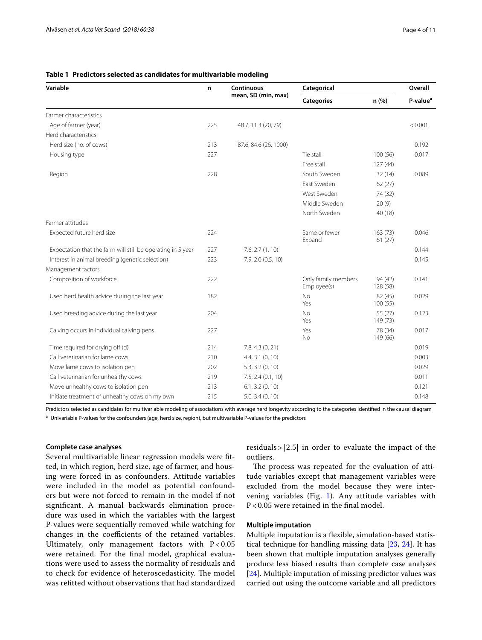| Variable                                                    | n   | Continuous<br>mean, SD (min, max) | Categorical                        |                     | Overall              |
|-------------------------------------------------------------|-----|-----------------------------------|------------------------------------|---------------------|----------------------|
|                                                             |     |                                   | <b>Categories</b>                  | n(% )               | P-value <sup>a</sup> |
| Farmer characteristics                                      |     |                                   |                                    |                     |                      |
| Age of farmer (year)                                        | 225 | 48.7, 11.3 (20, 79)               |                                    |                     | < 0.001              |
| Herd characteristics                                        |     |                                   |                                    |                     |                      |
| Herd size (no. of cows)                                     | 213 | 87.6, 84.6 (26, 1000)             |                                    |                     | 0.192                |
| Housing type                                                | 227 |                                   | Tie stall                          | 100(56)             | 0.017                |
|                                                             |     |                                   | Free stall                         | 127(44)             |                      |
| Region                                                      | 228 |                                   | South Sweden                       | 32(14)              | 0.089                |
|                                                             |     |                                   | East Sweden                        | 62(27)              |                      |
|                                                             |     |                                   | West Sweden                        | 74 (32)             |                      |
|                                                             |     |                                   | Middle Sweden                      | 20(9)               |                      |
|                                                             |     |                                   | North Sweden                       | 40 (18)             |                      |
| Farmer attitudes                                            |     |                                   |                                    |                     |                      |
| Expected future herd size                                   | 224 |                                   | Same or fewer<br>Expand            | 163(73)<br>61(27)   | 0.046                |
| Expectation that the farm will still be operating in 5 year | 227 | 7.6, 2.7(1, 10)                   |                                    |                     | 0.144                |
| Interest in animal breeding (genetic selection)             | 223 | 7.9, 2.0 (0.5, 10)                |                                    |                     | 0.145                |
| Management factors                                          |     |                                   |                                    |                     |                      |
| Composition of workforce                                    | 222 |                                   | Only family members<br>Employee(s) | 94 (42)<br>128 (58) | 0.141                |
| Used herd health advice during the last year                | 182 |                                   | <b>No</b><br>Yes                   | 82 (45)<br>100(55)  | 0.029                |
| Used breeding advice during the last year                   | 204 |                                   | <b>No</b><br>Yes                   | 55 (27)<br>149 (73) | 0.123                |
| Calving occurs in individual calving pens                   | 227 |                                   | Yes<br>No                          | 78 (34)<br>149 (66) | 0.017                |
| Time required for drying off (d)                            | 214 | 7.8, 4.3 (0, 21)                  |                                    |                     | 0.019                |
| Call veterinarian for lame cows                             | 210 | $4.4, 3.1$ $(0, 10)$              |                                    |                     | 0.003                |
| Move lame cows to isolation pen                             | 202 | $5.3, 3.2$ (0, 10)                |                                    |                     | 0.029                |
| Call veterinarian for unhealthy cows                        | 219 | 7.5, 2.4 (0.1, 10)                |                                    |                     | 0.011                |
| Move unhealthy cows to isolation pen                        | 213 | $6.1, 3.2$ $(0, 10)$              |                                    |                     | 0.121                |
| Initiate treatment of unhealthy cows on my own              | 215 | $5.0, 3.4$ $(0, 10)$              |                                    |                     | 0.148                |

#### **Table 1 Predictors selected as candidates for multivariable modeling**

Predictors selected as candidates for multivariable modeling of associations with average herd longevity according to the categories identified in the causal diagram

a Univariable P-values for the confounders (age, herd size, region), but multivariable P-values for the predictors

#### **Complete case analyses**

Several multivariable linear regression models were ftted, in which region, herd size, age of farmer, and housing were forced in as confounders. Attitude variables were included in the model as potential confounders but were not forced to remain in the model if not signifcant. A manual backwards elimination procedure was used in which the variables with the largest P-values were sequentially removed while watching for changes in the coefficients of the retained variables. Ultimately, only management factors with  $P < 0.05$ were retained. For the fnal model, graphical evaluations were used to assess the normality of residuals and to check for evidence of heteroscedasticity. The model was reftted without observations that had standardized residuals  $> |2.5|$  in order to evaluate the impact of the outliers.

The process was repeated for the evaluation of attitude variables except that management variables were excluded from the model because they were intervening variables (Fig. 1). Any attitude variables with P < 0.05 were retained in the fnal model.

#### **Multiple imputation**

Multiple imputation is a fexible, simulation-based statistical technique for handling missing data [23, 24]. It has been shown that multiple imputation analyses generally produce less biased results than complete case analyses [24]. Multiple imputation of missing predictor values was carried out using the outcome variable and all predictors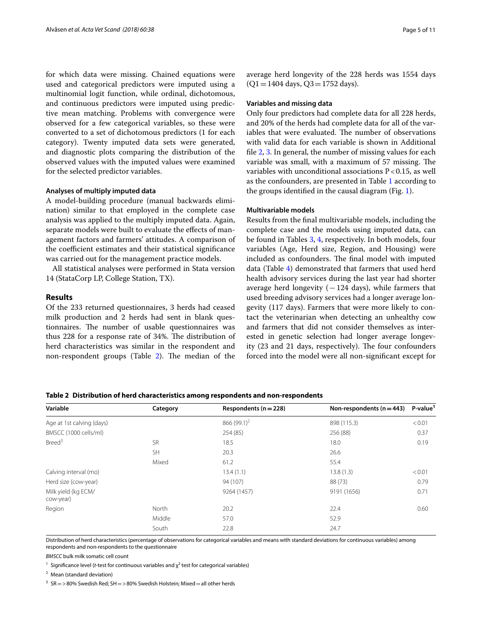for which data were missing. Chained equations were used and categorical predictors were imputed using a multinomial logit function, while ordinal, dichotomous, and continuous predictors were imputed using predictive mean matching. Problems with convergence were observed for a few categorical variables, so these were converted to a set of dichotomous predictors (1 for each category). Twenty imputed data sets were generated, and diagnostic plots comparing the distribution of the observed values with the imputed values were examined for the selected predictor variables.

#### **Analyses of multiply imputed data**

A model-building procedure (manual backwards elimination) similar to that employed in the complete case analysis was applied to the multiply imputed data. Again, separate models were built to evaluate the efects of management factors and farmers' attitudes. A comparison of the coefficient estimates and their statistical significance was carried out for the management practice models.

All statistical analyses were performed in Stata version 14 (StataCorp LP, College Station, TX).

#### **Results**

Of the 233 returned questionnaires, 3 herds had ceased milk production and 2 herds had sent in blank questionnaires. The number of usable questionnaires was thus 228 for a response rate of 34%. The distribution of herd characteristics was similar in the respondent and non-respondent groups (Table  $2$ ). The median of the

average herd longevity of the 228 herds was 1554 days  $(Q1 = 1404$  days,  $Q3 = 1752$  days).

#### **Variables and missing data**

Only four predictors had complete data for all 228 herds, and 20% of the herds had complete data for all of the variables that were evaluated. The number of observations with valid data for each variable is shown in Additional fle 2, 3. In general, the number of missing values for each variable was small, with a maximum of 57 missing. The variables with unconditional associations  $P < 0.15$ , as well as the confounders, are presented in Table 1 according to the groups identifed in the causal diagram (Fig. 1).

#### **Multivariable models**

Results from the fnal multivariable models, including the complete case and the models using imputed data, can be found in Tables 3, 4, respectively. In both models, four variables (Age, Herd size, Region, and Housing) were included as confounders. The final model with imputed data (Table 4) demonstrated that farmers that used herd health advisory services during the last year had shorter average herd longevity  $(-124 \text{ days})$ , while farmers that used breeding advisory services had a longer average longevity (117 days). Farmers that were more likely to contact the veterinarian when detecting an unhealthy cow and farmers that did not consider themselves as interested in genetic selection had longer average longevity (23 and 21 days, respectively). The four confounders forced into the model were all non-signifcant except for

| Variable                         | Category  | Respondents ( $n = 228$ ) | Non-respondents ( $n = 443$ ) | P-value <sup>1</sup> |
|----------------------------------|-----------|---------------------------|-------------------------------|----------------------|
| Age at 1st calving (days)        |           | 866 $(99.1)^2$            | 898 (115.3)                   | < 0.01               |
| BMSCC (1000 cells/ml)            |           | 254 (85)                  | 256 (88)                      | 0.37                 |
| Breed <sup>3</sup>               | <b>SR</b> | 18.5                      | 18.0                          | 0.19                 |
|                                  | <b>SH</b> | 20.3                      | 26.6                          |                      |
|                                  | Mixed     | 61.2                      | 55.4                          |                      |
| Calving interval (mo)            |           | 13.4(1.1)                 | 13.8(1.3)                     | < 0.01               |
| Herd size (cow-year)             |           | 94 (107)                  | 88 (73)                       | 0.79                 |
| Milk yield (kg ECM/<br>cow-year) |           | 9264 (1457)               | 9191 (1656)                   | 0.71                 |
| Region                           | North     | 20.2                      | 22.4                          | 0.60                 |
|                                  | Middle    | 57.0                      | 52.9                          |                      |
|                                  | South     | 22.8                      | 24.7                          |                      |

**Table 2 Distribution of herd characteristics among respondents and non-respondents**

Distribution of herd characteristics (percentage of observations for categorical variables and means with standard deviations for continuous variables) among respondents and non-respondents to the questionnaire

*BMSCC* bulk milk somatic cell count

<sup>1</sup> Significance level (*t*-test for continuous variables and  $\chi^2$  test for categorical variables)

<sup>2</sup> Mean (standard deviation)

<sup>3</sup> SR = >80% Swedish Red; SH = >80% Swedish Holstein; Mixed = all other herds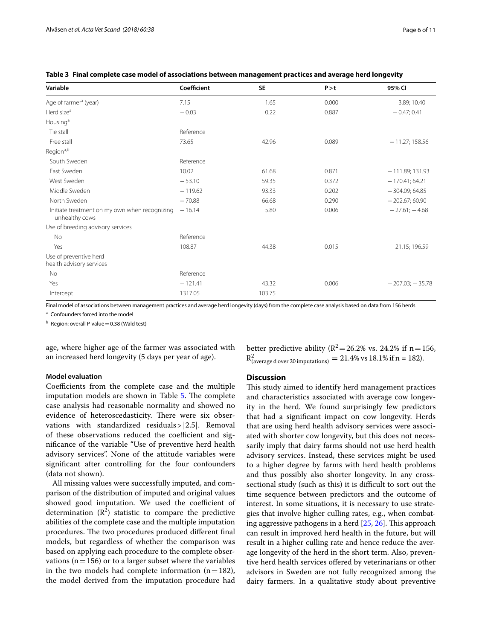| Variable                                                        | Coefficient | <b>SE</b> | P > t | 95% CI            |
|-----------------------------------------------------------------|-------------|-----------|-------|-------------------|
| Age of farmer <sup>a</sup> (year)                               | 7.15        | 1.65      | 0.000 | 3.89; 10.40       |
| Herd size <sup>a</sup>                                          | $-0.03$     | 0.22      | 0.887 | $-0.47;0.41$      |
| Housing <sup>a</sup>                                            |             |           |       |                   |
| Tie stall                                                       | Reference   |           |       |                   |
| Free stall                                                      | 73.65       | 42.96     | 0.089 | $-11.27; 158.56$  |
| Region <sup>a,b</sup>                                           |             |           |       |                   |
| South Sweden                                                    | Reference   |           |       |                   |
| East Sweden                                                     | 10.02       | 61.68     | 0.871 | $-111.89;131.93$  |
| West Sweden                                                     | $-53.10$    | 59.35     | 0.372 | $-170.41; 64.21$  |
| Middle Sweden                                                   | $-119.62$   | 93.33     | 0.202 | $-304.09; 64.85$  |
| North Sweden                                                    | $-70.88$    | 66.68     | 0.290 | $-202.67;60.90$   |
| Initiate treatment on my own when recognizing<br>unhealthy cows | $-16.14$    | 5.80      | 0.006 | $-27.61; -4.68$   |
| Use of breeding advisory services                               |             |           |       |                   |
| No                                                              | Reference   |           |       |                   |
| Yes                                                             | 108.87      | 44.38     | 0.015 | 21.15; 196.59     |
| Use of preventive herd<br>health advisory services              |             |           |       |                   |
| No                                                              | Reference   |           |       |                   |
| Yes                                                             | $-121.41$   | 43.32     | 0.006 | $-207.03; -35.78$ |
| Intercept                                                       | 1317.05     | 103.75    |       |                   |

**Table 3 Final complete case model of associations between management practices and average herd longevity**

Final model of associations between management practices and average herd longevity (days) from the complete case analysis based on data from 156 herds

<sup>a</sup> Confounders forced into the model

 $<sup>b</sup>$  Region: overall P-value = 0.38 (Wald test)</sup>

age, where higher age of the farmer was associated with an increased herd longevity (5 days per year of age).

#### **Model evaluation**

Coefficients from the complete case and the multiple imputation models are shown in Table 5. The complete case analysis had reasonable normality and showed no evidence of heteroscedasticity. There were six observations with standardized residuals>|2.5|. Removal of these observations reduced the coefficient and signifcance of the variable "Use of preventive herd health advisory services". None of the attitude variables were signifcant after controlling for the four confounders (data not shown).

All missing values were successfully imputed, and comparison of the distribution of imputed and original values showed good imputation. We used the coefficient of determination  $(R^2)$  statistic to compare the predictive abilities of the complete case and the multiple imputation procedures. The two procedures produced different final models, but regardless of whether the comparison was based on applying each procedure to the complete observations ( $n=156$ ) or to a larger subset where the variables in the two models had complete information  $(n=182)$ , the model derived from the imputation procedure had

better predictive ability ( $R^2$  = 26.2% vs. 24.2% if n = 156,  $R^2_{\text{(average d over 20 impulations)}} = 21.4\% \text{ vs } 18.1\% \text{ if n = 182)}.$ 

#### **Discussion**

This study aimed to identify herd management practices and characteristics associated with average cow longevity in the herd. We found surprisingly few predictors that had a signifcant impact on cow longevity. Herds that are using herd health advisory services were associated with shorter cow longevity, but this does not necessarily imply that dairy farms should not use herd health advisory services. Instead, these services might be used to a higher degree by farms with herd health problems and thus possibly also shorter longevity. In any crosssectional study (such as this) it is difficult to sort out the time sequence between predictors and the outcome of interest. In some situations, it is necessary to use strategies that involve higher culling rates, e.g., when combating aggressive pathogens in a herd  $[25, 26]$ . This approach can result in improved herd health in the future, but will result in a higher culling rate and hence reduce the average longevity of the herd in the short term. Also, preventive herd health services ofered by veterinarians or other advisors in Sweden are not fully recognized among the dairy farmers. In a qualitative study about preventive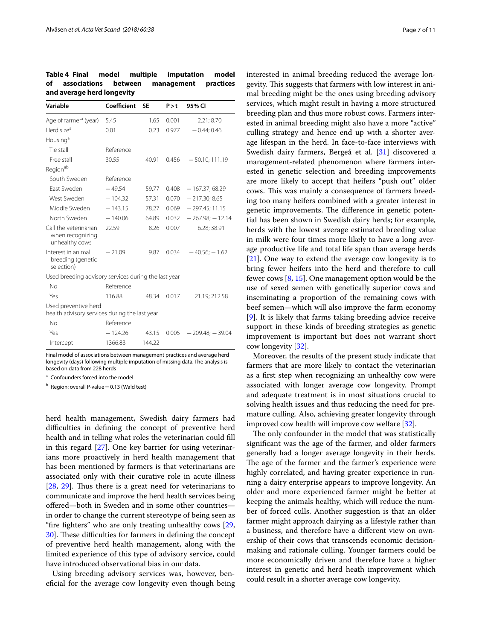**Table 4 Final model multiple imputation model of associations between management practices and average herd longevity**

| Variable                                                              | Coefficient | SΕ     | P > t | 95% CI             |
|-----------------------------------------------------------------------|-------------|--------|-------|--------------------|
| Age of farmer <sup>a</sup> (year)                                     | 5.45        | 1.65   | 0.001 | 2.21; 8.70         |
| Herd size <sup>a</sup>                                                | 0.01        | 0.23   | 0.977 | $-0.44;0.46$       |
| Housing <sup>a</sup>                                                  |             |        |       |                    |
| Tie stall                                                             | Reference   |        |       |                    |
| Free stall                                                            | 30.55       | 40.91  | 0.456 | $-50.10;111.19$    |
| Regionab                                                              |             |        |       |                    |
| South Sweden                                                          | Reference   |        |       |                    |
| <b>Fast Sweden</b>                                                    | $-49.54$    | 59.77  | 0.408 | $-167.37;68.29$    |
| West Sweden                                                           | $-104.32$   | 57.31  | 0.070 | $-217.30; 8.65$    |
| Middle Sweden                                                         | $-143.15$   | 78.27  | 0.069 | $-297.45;11.15$    |
| North Sweden                                                          | $-140.06$   | 64.89  | 0.032 | $-267.98; -12.14$  |
| Call the veterinarian<br>when recognizing<br>unhealthy cows           | 22.59       | 8.26   | 0.007 | 6.28; 38.91        |
| Interest in animal<br>breeding (genetic<br>selection)                 | $-21.09$    | 9.87   | 0.034 | $-40.56$ ; $-1.62$ |
| Used breeding advisory services during the last year                  |             |        |       |                    |
| No                                                                    | Reference   |        |       |                    |
| Yes                                                                   | 116.88      | 48.34  | 0.017 | 21.19; 212.58      |
| Used preventive herd<br>health advisory services during the last year |             |        |       |                    |
| No                                                                    | Reference   |        |       |                    |
| Yes                                                                   | $-124.26$   | 43.15  | 0.005 | $-209.48; -39.04$  |
| Intercept                                                             | 1366.83     | 144.22 |       |                    |

Final model of associations between management practices and average herd longevity (days) following multiple imputation of missing data. The analysis is based on data from 228 herds

<sup>a</sup> Confounders forced into the model

 $<sup>b</sup>$  Region: overall P-value = 0.13 (Wald test)</sup>

herd health management, Swedish dairy farmers had difficulties in defining the concept of preventive herd health and in telling what roles the veterinarian could fll in this regard [27]. One key barrier for using veterinarians more proactively in herd health management that has been mentioned by farmers is that veterinarians are associated only with their curative role in acute illness  $[28, 29]$ . Thus there is a great need for veterinarians to communicate and improve the herd health services being ofered—both in Sweden and in some other countries in order to change the current stereotype of being seen as "fre fghters" who are only treating unhealthy cows [29, 30. These difficulties for farmers in defining the concept of preventive herd health management, along with the limited experience of this type of advisory service, could have introduced observational bias in our data.

Using breeding advisory services was, however, benefcial for the average cow longevity even though being

interested in animal breeding reduced the average longevity. This suggests that farmers with low interest in animal breeding might be the ones using breeding advisory services, which might result in having a more structured breeding plan and thus more robust cows. Farmers interested in animal breeding might also have a more "active" culling strategy and hence end up with a shorter average lifespan in the herd. In face-to-face interviews with Swedish dairy farmers, Bergeå et al. [31] discovered a management-related phenomenon where farmers interested in genetic selection and breeding improvements are more likely to accept that heifers "push out" older cows. This was mainly a consequence of farmers breeding too many heifers combined with a greater interest in genetic improvements. The difference in genetic potential has been shown in Swedish dairy herds; for example, herds with the lowest average estimated breeding value in milk were four times more likely to have a long average productive life and total life span than average herds [21]. One way to extend the average cow longevity is to bring fewer heifers into the herd and therefore to cull fewer cows [8, 15]. One management option would be the use of sexed semen with genetically superior cows and inseminating a proportion of the remaining cows with beef semen—which will also improve the farm economy [9]. It is likely that farms taking breeding advice receive support in these kinds of breeding strategies as genetic improvement is important but does not warrant short cow longevity [32].

Moreover, the results of the present study indicate that farmers that are more likely to contact the veterinarian as a frst step when recognizing an unhealthy cow were associated with longer average cow longevity. Prompt and adequate treatment is in most situations crucial to solving health issues and thus reducing the need for premature culling. Also, achieving greater longevity through improved cow health will improve cow welfare [32].

The only confounder in the model that was statistically signifcant was the age of the farmer, and older farmers generally had a longer average longevity in their herds. The age of the farmer and the farmer's experience were highly correlated, and having greater experience in running a dairy enterprise appears to improve longevity. An older and more experienced farmer might be better at keeping the animals healthy, which will reduce the number of forced culls. Another suggestion is that an older farmer might approach dairying as a lifestyle rather than a business, and therefore have a diferent view on ownership of their cows that transcends economic decisionmaking and rationale culling. Younger farmers could be more economically driven and therefore have a higher interest in genetic and herd heath improvement which could result in a shorter average cow longevity.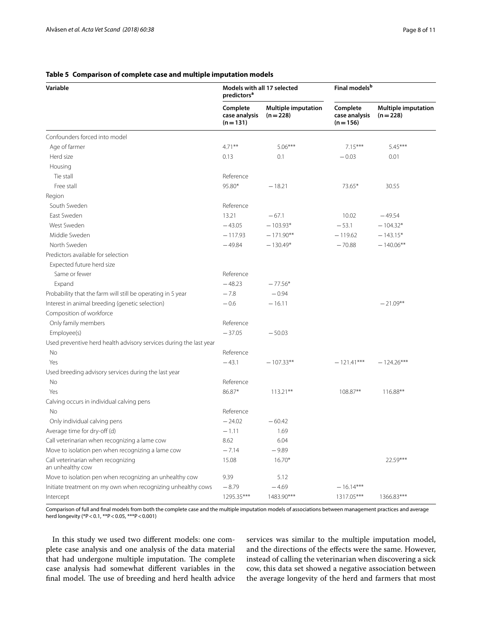#### **Table 5 Comparison of complete case and multiple imputation models**

| Variable                                                           | Models with all 17 selected<br>predictors <sup>a</sup> |                                         | Final models <sup>b</sup>                |                                         |
|--------------------------------------------------------------------|--------------------------------------------------------|-----------------------------------------|------------------------------------------|-----------------------------------------|
|                                                                    | Complete<br>case analysis<br>$(n=131)$                 | <b>Multiple imputation</b><br>$(n=228)$ | Complete<br>case analysis<br>$(n = 156)$ | <b>Multiple imputation</b><br>$(n=228)$ |
| Confounders forced into model                                      |                                                        |                                         |                                          |                                         |
| Age of farmer                                                      | $4.71***$                                              | $5.06***$                               | $7.15***$                                | $5.45***$                               |
| Herd size                                                          | 0.13                                                   | 0.1                                     | $-0.03$                                  | 0.01                                    |
| Housing                                                            |                                                        |                                         |                                          |                                         |
| Tie stall                                                          | Reference                                              |                                         |                                          |                                         |
| Free stall                                                         | 95.80*                                                 | $-18.21$                                | 73.65*                                   | 30.55                                   |
| Region                                                             |                                                        |                                         |                                          |                                         |
| South Sweden                                                       | Reference                                              |                                         |                                          |                                         |
| East Sweden                                                        | 13.21                                                  | $-67.1$                                 | 10.02                                    | $-49.54$                                |
| West Sweden                                                        | $-43.05$                                               | $-103.93*$                              | $-53.1$                                  | $-104.32*$                              |
| Middle Sweden                                                      | $-117.93$                                              | $-171.90**$                             | $-119.62$                                | $-143.15*$                              |
| North Sweden                                                       | $-49.84$                                               | $-130.49*$                              | $-70.88$                                 | $-140.06**$                             |
| Predictors available for selection                                 |                                                        |                                         |                                          |                                         |
| Expected future herd size                                          |                                                        |                                         |                                          |                                         |
| Same or fewer                                                      | Reference                                              |                                         |                                          |                                         |
| Expand                                                             | $-48.23$                                               | $-77.56*$                               |                                          |                                         |
| Probability that the farm will still be operating in 5 year        | $-7.8$                                                 | $-0.94$                                 |                                          |                                         |
| Interest in animal breeding (genetic selection)                    | $-0.6$                                                 | $-16.11$                                |                                          | $-21.09**$                              |
| Composition of workforce                                           |                                                        |                                         |                                          |                                         |
| Only family members                                                | Reference                                              |                                         |                                          |                                         |
| Employee(s)                                                        | $-37.05$                                               | $-50.03$                                |                                          |                                         |
| Used preventive herd health advisory services during the last year |                                                        |                                         |                                          |                                         |
| No                                                                 | Reference                                              |                                         |                                          |                                         |
| Yes                                                                | $-43.1$                                                | $-107.33**$                             | $-121.41***$                             | $-124.26***$                            |
| Used breeding advisory services during the last year               |                                                        |                                         |                                          |                                         |
| No                                                                 | Reference                                              |                                         |                                          |                                         |
| Yes                                                                | 86.87*                                                 | $113.21***$                             | 108.87**                                 | 116.88**                                |
| Calving occurs in individual calving pens                          |                                                        |                                         |                                          |                                         |
| No                                                                 | Reference                                              |                                         |                                          |                                         |
| Only individual calving pens                                       | $-24.02$                                               | $-60.42$                                |                                          |                                         |
| Average time for dry-off (d)                                       | $-1.11$                                                | 1.69                                    |                                          |                                         |
| Call veterinarian when recognizing a lame cow                      | 8.62                                                   | 6.04                                    |                                          |                                         |
| Move to isolation pen when recognizing a lame cow                  | $-7.14$                                                | $-9.89$                                 |                                          |                                         |
| Call veterinarian when recognizing<br>an unhealthy cow             | 15.08                                                  | $16.70*$                                |                                          | $22.59***$                              |
| Move to isolation pen when recognizing an unhealthy cow            | 9.39                                                   | 5.12                                    |                                          |                                         |
| Initiate treatment on my own when recognizing unhealthy cows       | $-8.79$                                                | $-4.69$                                 | $-16.14***$                              |                                         |
| Intercept                                                          | 1295.35***                                             | 1483.90***                              | 1317.05***                               | 1366.83***                              |

Comparison of full and fnal models from both the complete case and the multiple imputation models of associations between management practices and average herd longevity (\*P<0.1, \*\*P<0.05, \*\*\*P<0.001)

In this study we used two diferent models: one complete case analysis and one analysis of the data material that had undergone multiple imputation. The complete case analysis had somewhat diferent variables in the final model. The use of breeding and herd health advice services was similar to the multiple imputation model, and the directions of the efects were the same. However, instead of calling the veterinarian when discovering a sick cow, this data set showed a negative association between the average longevity of the herd and farmers that most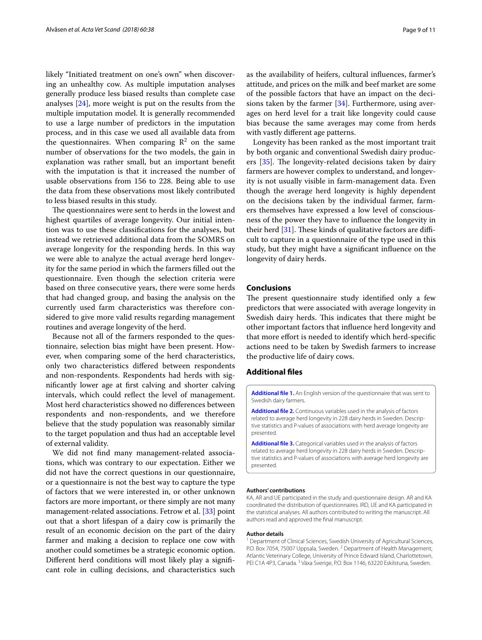likely "Initiated treatment on one's own" when discovering an unhealthy cow. As multiple imputation analyses generally produce less biased results than complete case analyses [24], more weight is put on the results from the multiple imputation model. It is generally recommended to use a large number of predictors in the imputation process, and in this case we used all available data from the questionnaires. When comparing  $\mathbb{R}^2$  on the same number of observations for the two models, the gain in explanation was rather small, but an important beneft with the imputation is that it increased the number of usable observations from 156 to 228. Being able to use the data from these observations most likely contributed to less biased results in this study.

The questionnaires were sent to herds in the lowest and highest quartiles of average longevity. Our initial intention was to use these classifcations for the analyses, but instead we retrieved additional data from the SOMRS on average longevity for the responding herds. In this way we were able to analyze the actual average herd longevity for the same period in which the farmers flled out the questionnaire. Even though the selection criteria were based on three consecutive years, there were some herds that had changed group, and basing the analysis on the currently used farm characteristics was therefore considered to give more valid results regarding management routines and average longevity of the herd.

Because not all of the farmers responded to the questionnaire, selection bias might have been present. However, when comparing some of the herd characteristics, only two characteristics difered between respondents and non-respondents. Respondents had herds with signifcantly lower age at frst calving and shorter calving intervals, which could refect the level of management. Most herd characteristics showed no diferences between respondents and non-respondents, and we therefore believe that the study population was reasonably similar to the target population and thus had an acceptable level of external validity.

We did not fnd many management-related associations, which was contrary to our expectation. Either we did not have the correct questions in our questionnaire, or a questionnaire is not the best way to capture the type of factors that we were interested in, or other unknown factors are more important, or there simply are not many management-related associations. Fetrow et al. [33] point out that a short lifespan of a dairy cow is primarily the result of an economic decision on the part of the dairy farmer and making a decision to replace one cow with another could sometimes be a strategic economic option. Diferent herd conditions will most likely play a signifcant role in culling decisions, and characteristics such as the availability of heifers, cultural infuences, farmer's attitude, and prices on the milk and beef market are some of the possible factors that have an impact on the decisions taken by the farmer  $[34]$ . Furthermore, using averages on herd level for a trait like longevity could cause bias because the same averages may come from herds with vastly diferent age patterns.

Longevity has been ranked as the most important trait by both organic and conventional Swedish dairy producers [35]. The longevity-related decisions taken by dairy farmers are however complex to understand, and longevity is not usually visible in farm-management data. Even though the average herd longevity is highly dependent on the decisions taken by the individual farmer, farmers themselves have expressed a low level of consciousness of the power they have to infuence the longevity in their herd  $[31]$ . These kinds of qualitative factors are difficult to capture in a questionnaire of the type used in this study, but they might have a signifcant infuence on the longevity of dairy herds.

#### **Conclusions**

The present questionnaire study identified only a few predictors that were associated with average longevity in Swedish dairy herds. This indicates that there might be other important factors that infuence herd longevity and that more efort is needed to identify which herd-specifc actions need to be taken by Swedish farmers to increase the productive life of dairy cows.

#### **Additional fles**

**Additional fle 1.** An English version of the questionnaire that was sent to Swedish dairy farmers.

**Additional fle 2.** Continuous variables used in the analysis of factors related to average herd longevity in 228 dairy herds in Sweden. Descriptive statistics and P-values of associations with herd average longevity are presented.

**Additional fle 3.** Categorical variables used in the analysis of factors related to average herd longevity in 228 dairy herds in Sweden. Descriptive statistics and P-values of associations with average herd longevity are presented.

#### **Authors' contributions**

KA, AR and UE participated in the study and questionnaire design. AR and KA coordinated the distribution of questionnaires. IRD, UE and KA participated in the statistical analyses. All authors contributed to writing the manuscript. All authors read and approved the fnal manuscript.

#### **Author details**

<sup>1</sup> Department of Clinical Sciences, Swedish University of Agricultural Sciences, P.O. Box 7054, 75007 Uppsala, Sweden.<sup>2</sup> Department of Health Management, Atlantic Veterinary College, University of Prince Edward Island, Charlottetown, PEI C1A 4P3, Canada.<sup>3</sup> Växa Sverige, P.O. Box 1146, 63220 Eskilstuna, Sweden.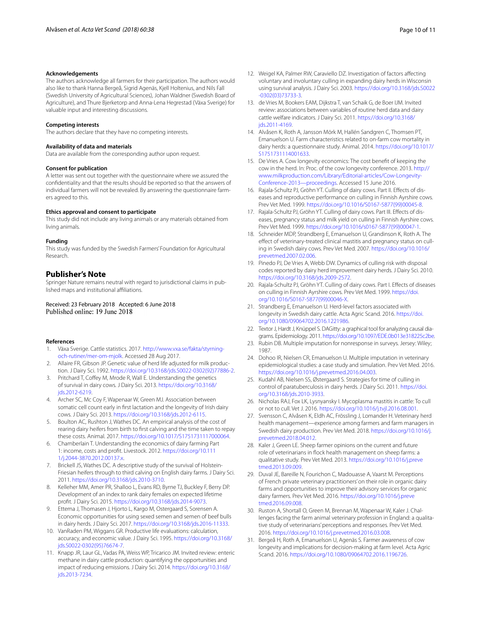#### **Acknowledgements**

The authors acknowledge all farmers for their participation. The authors would also like to thank Hanna Bergeå, Sigrid Agenäs, Kjell Holtenius, and Nils Fall (Swedish University of Agricultural Sciences), Johan Waldner (Swedish Board of Agriculture), and Thure Bjerketorp and Anna-Lena Hegrestad (Växa Sverige) for valuable input and interesting discussions.

#### **Competing interests**

The authors declare that they have no competing interests.

#### **Availability of data and materials**

Data are available from the corresponding author upon request.

#### **Consent for publication**

A letter was sent out together with the questionnaire where we assured the confdentiality and that the results should be reported so that the answers of individual farmers will not be revealed. By answering the questionnaire farmers agreed to this.

#### **Ethics approval and consent to participate**

This study did not include any living animals or any materials obtained from living animals.

#### **Funding**

This study was funded by the Swedish Farmers' Foundation for Agricultural Research.

#### **Publisher's Note**

Springer Nature remains neutral with regard to jurisdictional claims in published maps and institutional afliations.

## Received: 23 February 2018 Accepted: 6 June 2018

#### **References**

- Växa Sverige. Cattle statistics. 2017. http://www.vxa.se/fakta/styrningoch-rutiner/mer-om-mjolk. Accessed 28 Aug 2017.
- 2. Allaire FR, Gibson JP. Genetic value of herd life adjusted for milk production. J Dairy Sci. 1992. https://doi.org/10.3168/jds.S0022-0302(92)77886-2.
- 3. Pritchard T, Cofey M, Mrode R, Wall E. Understanding the genetics of survival in dairy cows. J Dairy Sci. 2013. https://doi.org/10.3168/ jds.2012-6219.
- 4. Archer SC, Mc Coy F, Wapenaar W, Green MJ. Association between somatic cell count early in frst lactation and the longevity of Irish dairy cows. J Dairy Sci. 2013. https://doi.org/10.3168/jds.2012-6115.
- 5. Boulton AC, Rushton J, Wathes DC. An empirical analysis of the cost of rearing dairy heifers from birth to frst calving and the time taken to repay these costs. Animal. 2017. https://doi.org/10.1017/S1751731117000064.
- 6. Chamberlain T. Understanding the economics of dairy farming Part 1: income, costs and proft. Livestock. 2012. https://doi.org/10.111 1/j.2044-3870.2012.00137.x.
- 7. Brickell JS, Wathes DC. A descriptive study of the survival of Holstein-Friesian heifers through to third calving on English dairy farms. J Dairy Sci. 2011. https://doi.org/10.3168/jds.2010-3710.
- 8. Kelleher MM, Amer PR, Shalloo L, Evans RD, Byrne TJ, Buckley F, Berry DP. Development of an index to rank dairy females on expected lifetime proft. J Dairy Sci. 2015. https://doi.org/10.3168/jds.2014-9073.
- 9. Ettema J, Thomasen J, Hjorto L, Kargo M, Ostergaard S, Sorensen A. Economic opportunities for using sexed semen and semen of beef bulls in dairy herds. J Dairy Sci. 2017. https://doi.org/10.3168/jds.2016-11333.
- 10. VanRaden PM, Wiggans GR. Productive life evaluations: calculation, accuracy, and economic value. J Dairy Sci. 1995. https://doi.org/10.3168/ jds.S0022-0302(95)76674-7.
- 11. Knapp JR, Laur GL, Vadas PA, Weiss WP, Tricarico JM. Invited review: enteric methane in dairy cattle production: quantifying the opportunities and impact of reducing emissions. J Dairy Sci. 2014. https://doi.org/10.3168/ jds.2013-7234.
- 12. Weigel KA, Palmer RW, Caraviello DZ. Investigation of factors afecting voluntary and involuntary culling in expanding dairy herds in Wisconsin using survival analysis. J Dairy Sci. 2003. https://doi.org/10.3168/jds.S0022 -0302(03)73733-3.
- 13. de Vries M, Bookers EAM, Dijkstra T, van Schaik G, de Boer IJM. Invited review: associations between variables of routine herd data and dairy cattle welfare indicators. J Dairy Sci. 2011. https://doi.org/10.3168/ jds.2011-4169.
- 14. Alvåsen K, Roth A, Jansson Mörk M, Hallén Sandgren C, Thomsen PT, Emanuelson U. Farm characteristics related to on-farm cow mortality in dairy herds: a questionnaire study. Animal. 2014. https://doi.org/10.1017/ S1751731114001633.
- 15. De Vries A. Cow longevity economics: The cost beneft of keeping the cow in the herd. In: Proc. of the cow longevity conference. 2013. http:// www.milkproduction.com/Library/Editorial-articles/Cow-Longevity-Conference-2013—proceedings. Accessed 15 June 2016.
- 16. Rajala-Schultz PJ, Gröhn YT. Culling of dairy cows. Part II. Efects of diseases and reproductive performance on culling in Finnish Ayrshire cows. Prev Vet Med. 1999. https://doi.org/10.1016/S0167-5877(99)00045-8.
- 17. Rajala-Schultz PJ, Gröhn YT. Culling of dairy cows. Part III. Efects of diseases, pregnancy status and milk yield on culling in Finnish Ayrshire cows. Prev Vet Med. 1999. https://doi.org/10.1016/s0167-5877(99)00047-1.
- 18. Schneider MDP, Strandberg E, Emanuelson U, Grandinson K, Roth A. The efect of veterinary-treated clinical mastitis and pregnancy status on culling in Swedish dairy cows. Prev Vet Med. 2007. https://doi.org/10.1016/ prevetmed.2007.02.006.
- 19. Pinedo PJ, De Vries A, Webb DW. Dynamics of culling risk with disposal codes reported by dairy herd improvement dairy herds. J Dairy Sci. 2010. https://doi.org/10.3168/jds.2009-2572.
- 20. Rajala-Schultz PJ, Gröhn YT. Culling of dairy cows. Part I. Efects of diseases on culling in Finnish Ayrshire cows. Prev Vet Med. 1999. https://doi. org/10.1016/S0167-5877(99)00046-X.
- 21. Strandberg E, Emanuelson U. Herd-level factors associated with longevity in Swedish dairy cattle. Acta Agric Scand. 2016. https://doi. org/10.1080/09064702.2016.1221986.
- 22. Textor J, Hardt J, Knüppel S. DAGitty: a graphical tool for analyzing causal diagrams. Epidemiology. 2011. https://doi.org/10.1097/EDE.0b013e318225c2be.
- 23. Rubin DB. Multiple imputation for nonresponse in surveys. Jersey: Wiley; 1987.
- 24. Dohoo IR, Nielsen CR, Emanuelson U. Multiple imputation in veterinary epidemiological studies: a case study and simulation. Prev Vet Med. 2016. https://doi.org/10.1016/j.prevetmed.2016.04.003.
- 25. Kudahl AB, Nielsen SS, Østergaard S. Strategies for time of culling in control of paratuberculosis in dairy herds. J Dairy Sci. 2011. https://doi. org/10.3168/jds.2010-3933.
- 26. Nicholas RAJ, Fox LK, Lysnyansky I. Mycoplasma mastitis in cattle: To cull or not to cull. Vet J. 2016. https://doi.org/10.1016/j.tvjl.2016.08.001.
- 27. Svensson C, Alvåsen K, Eldh AC, Frössling J, Lomander H. Veterinary herd health management—experience among farmers and farm managers in Swedish dairy production. Prev Vet Med. 2018. https://doi.org/10.1016/j. prevetmed.2018.04.012.
- 28. Kaler J, Green LE. Sheep farmer opinions on the current and future role of veterinarians in fock health management on sheep farms: a qualitative study. Prev Vet Med. 2013. https://doi.org/10.1016/j.preve tmed.2013.09.009.
- 29. Duval JE, Bareille N, Fourichon C, Madouasse A, Vaarst M. Perceptions of French private veterinary practitioners' on their role in organic dairy farms and opportunities to improve their advisory services for organic dairy farmers. Prev Vet Med. 2016. https://doi.org/10.1016/j.preve tmed.2016.09.008.
- 30. Ruston A, Shortall O, Green M, Brennan M, Wapenaar W, Kaler J. Challenges facing the farm animal veterinary profession in England: a qualitative study of veterinarians' perceptions and responses. Prev Vet Med. 2016. https://doi.org/10.1016/j.prevetmed.2016.03.008.
- 31. Bergeå H, Roth A, Emanuelson U, Agenäs S. Farmer awareness of cow longevity and implications for decision-making at farm level. Acta Agric Scand. 2016. https://doi.org/10.1080/09064702.2016.1196726.